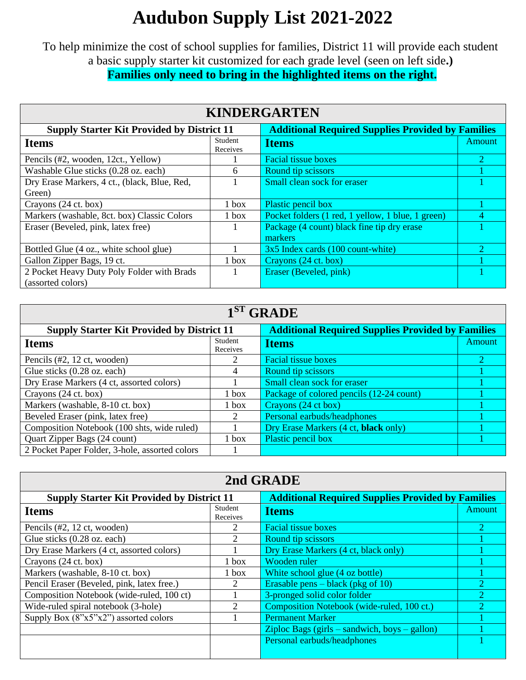## **Audubon Supply List 2021-2022**

To help minimize the cost of school supplies for families, District 11 will provide each student a basic supply starter kit customized for each grade level (seen on left side**.) Families only need to bring in the highlighted items on the right.**

| <b>KINDERGARTEN</b>                               |                     |                                                          |               |
|---------------------------------------------------|---------------------|----------------------------------------------------------|---------------|
| <b>Supply Starter Kit Provided by District 11</b> |                     | <b>Additional Required Supplies Provided by Families</b> |               |
| <b>Items</b>                                      | Student<br>Receives | <b>Items</b>                                             | <b>Amount</b> |
| Pencils (#2, wooden, 12ct., Yellow)               |                     | <b>Facial tissue boxes</b>                               |               |
| Washable Glue sticks (0.28 oz. each)              | 6                   | Round tip scissors                                       |               |
| Dry Erase Markers, 4 ct., (black, Blue, Red,      |                     | Small clean sock for eraser                              |               |
| Green)                                            |                     |                                                          |               |
| Crayons (24 ct. box)                              | $1$ box             | Plastic pencil box                                       |               |
| Markers (washable, 8ct. box) Classic Colors       | $1$ box             | Pocket folders (1 red, 1 yellow, 1 blue, 1 green)        |               |
| Eraser (Beveled, pink, latex free)                |                     | Package (4 count) black fine tip dry erase               |               |
|                                                   |                     | markers                                                  |               |
| Bottled Glue (4 oz., white school glue)           |                     | 3x5 Index cards (100 count-white)                        |               |
| Gallon Zipper Bags, 19 ct.                        | 1 box               | Crayons (24 ct. box)                                     |               |
| 2 Pocket Heavy Duty Poly Folder with Brads        |                     | Eraser (Beveled, pink)                                   |               |
| (assorted colors)                                 |                     |                                                          |               |

| $1ST$ GRADE                                       |                     |                                                          |        |  |
|---------------------------------------------------|---------------------|----------------------------------------------------------|--------|--|
| <b>Supply Starter Kit Provided by District 11</b> |                     | <b>Additional Required Supplies Provided by Families</b> |        |  |
| <b>Items</b>                                      | Student<br>Receives | <b>Items</b>                                             | Amount |  |
| Pencils (#2, 12 ct, wooden)                       |                     | <b>Facial tissue boxes</b>                               |        |  |
| Glue sticks (0.28 oz. each)                       | 4                   | Round tip scissors                                       |        |  |
| Dry Erase Markers (4 ct, assorted colors)         |                     | Small clean sock for eraser                              |        |  |
| Crayons (24 ct. box)                              | $1$ box             | Package of colored pencils (12-24 count)                 |        |  |
| Markers (washable, 8-10 ct. box)                  | $1$ box             | Crayons (24 ct box)                                      |        |  |
| Beveled Eraser (pink, latex free)                 |                     | Personal earbuds/headphones                              |        |  |
| Composition Notebook (100 shts, wide ruled)       |                     | Dry Erase Markers (4 ct, black only)                     |        |  |
| Quart Zipper Bags (24 count)                      | $1$ box             | Plastic pencil box                                       |        |  |
| 2 Pocket Paper Folder, 3-hole, assorted colors    |                     |                                                          |        |  |

| 2nd GRADE                                         |                             |                                                          |        |
|---------------------------------------------------|-----------------------------|----------------------------------------------------------|--------|
| <b>Supply Starter Kit Provided by District 11</b> |                             | <b>Additional Required Supplies Provided by Families</b> |        |
| <b>Items</b>                                      | Student<br>Receives         | <b>Items</b>                                             | Amount |
| Pencils (#2, 12 ct, wooden)                       |                             | <b>Facial tissue boxes</b>                               | 2      |
| Glue sticks (0.28 oz. each)                       | 2                           | Round tip scissors                                       |        |
| Dry Erase Markers (4 ct, assorted colors)         |                             | Dry Erase Markers (4 ct, black only)                     |        |
| Crayons (24 ct. box)                              | 1 box                       | Wooden ruler                                             |        |
| Markers (washable, 8-10 ct. box)                  | 1 box                       | White school glue (4 oz bottle)                          |        |
| Pencil Eraser (Beveled, pink, latex free.)        | 2                           | Erasable pens $-$ black (pkg of 10)                      | റ      |
| Composition Notebook (wide-ruled, 100 ct)         |                             | 3-pronged solid color folder                             |        |
| Wide-ruled spiral notebook (3-hole)               | $\mathcal{D}_{\mathcal{L}}$ | Composition Notebook (wide-ruled, 100 ct.)               |        |
| Supply Box (8"x5"x2") assorted colors             |                             | <b>Permanent Marker</b>                                  |        |
|                                                   |                             | $\chi$ ziploc Bags (girls – sandwich, boys – gallon)     |        |
|                                                   |                             | Personal earbuds/headphones                              |        |